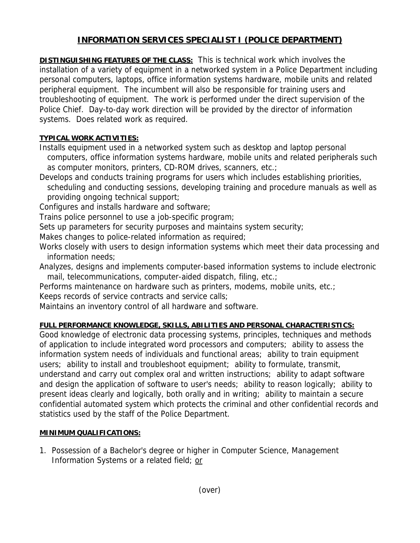## **INFORMATION SERVICES SPECIALIST I (POLICE DEPARTMENT)**

**DISTINGUISHING FEATURES OF THE CLASS:** This is technical work which involves the installation of a variety of equipment in a networked system in a Police Department including personal computers, laptops, office information systems hardware, mobile units and related peripheral equipment. The incumbent will also be responsible for training users and troubleshooting of equipment. The work is performed under the direct supervision of the Police Chief. Day-to-day work direction will be provided by the director of information systems. Does related work as required.

## **TYPICAL WORK ACTIVITIES:**

Installs equipment used in a networked system such as desktop and laptop personal computers, office information systems hardware, mobile units and related peripherals such as computer monitors, printers, CD-ROM drives, scanners, etc.;

- Develops and conducts training programs for users which includes establishing priorities, scheduling and conducting sessions, developing training and procedure manuals as well as providing ongoing technical support;
- Configures and installs hardware and software;

Trains police personnel to use a job-specific program;

Sets up parameters for security purposes and maintains system security;

Makes changes to police-related information as required;

Works closely with users to design information systems which meet their data processing and information needs;

Analyzes, designs and implements computer-based information systems to include electronic mail, telecommunications, computer-aided dispatch, filing, etc.;

Performs maintenance on hardware such as printers, modems, mobile units, etc.;

Keeps records of service contracts and service calls;

Maintains an inventory control of all hardware and software.

## **FULL PERFORMANCE KNOWLEDGE, SKILLS, ABILITIES AND PERSONAL CHARACTERISTICS:**

Good knowledge of electronic data processing systems, principles, techniques and methods of application to include integrated word processors and computers; ability to assess the information system needs of individuals and functional areas; ability to train equipment users; ability to install and troubleshoot equipment; ability to formulate, transmit, understand and carry out complex oral and written instructions; ability to adapt software and design the application of software to user's needs; ability to reason logically; ability to present ideas clearly and logically, both orally and in writing; ability to maintain a secure confidential automated system which protects the criminal and other confidential records and statistics used by the staff of the Police Department.

## **MINIMUM QUALIFICATIONS:**

1. Possession of a Bachelor's degree or higher in Computer Science, Management Information Systems or a related field; or